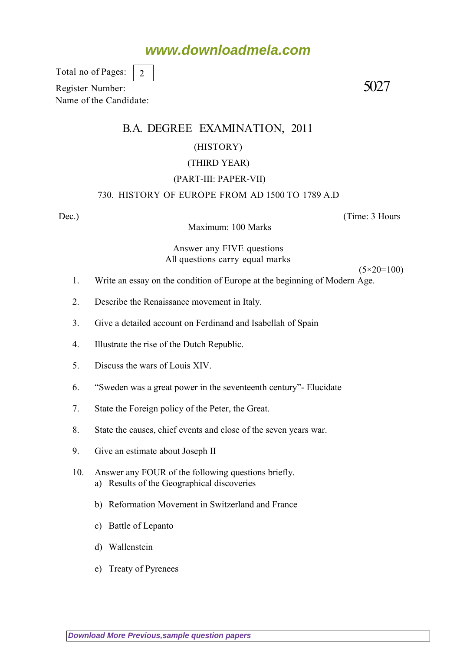## **www.downloadmela.com**

Total no of Pages: 2

Register Number: 5027 Name of the Candidate:

### B.A. DEGREE EXAMINATION, 2011

#### (HISTORY)

#### (THIRD YEAR)

#### (PART-III: PAPER-VII)

#### 730. HISTORY OF EUROPE FROM AD 1500 TO 1789 A.D

Maximum: 100 Marks

Dec.) (Time: 3 Hours

 $(5 \times 20 = 100)$ 

Answer any FIVE questions All questions carry equal marks

- 1. Write an essay on the condition of Europe at the beginning of Modern Age.
- 2. Describe the Renaissance movement in Italy.
- 3. Give a detailed account on Ferdinand and Isabellah of Spain
- 4. Illustrate the rise of the Dutch Republic.
- 5. Discuss the wars of Louis XIV.
- 6. "Sweden was a great power in the seventeenth century"- Elucidate
- 7. State the Foreign policy of the Peter, the Great.
- 8. State the causes, chief events and close of the seven years war.
- 9. Give an estimate about Joseph II
- 10. Answer any FOUR of the following questions briefly. a) Results of the Geographical discoveries
	- b) Reformation Movement in Switzerland and France
	- c) Battle of Lepanto
	- d) Wallenstein
	- e) Treaty of Pyrenees

**[Download More Previous,sample question papers](http://downloadmela.com/pages/previouspapers/previouspapers.html)**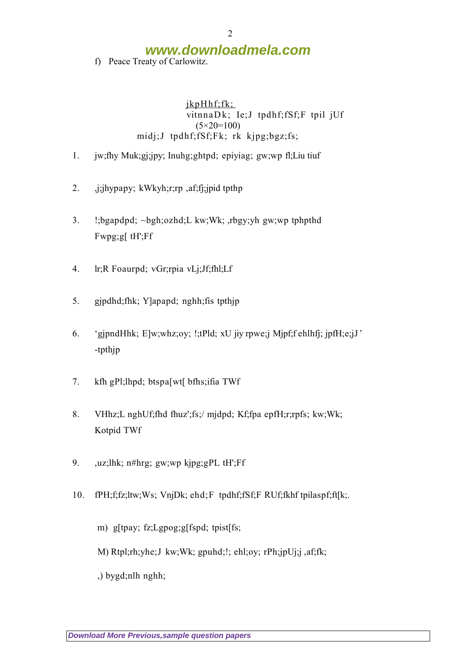# **www.downloadmela.com**

f) Peace Treaty of Carlowitz.

jkpHhf;fk; vitnnaDk; Ie;J tpdhf;fSf;F tpil jUf (5*×20=100)* midj;J tpdhf;fSf;Fk; rk kjpg;bgz;fs;

- 1. jw;fhy Muk;gj;jpy; Inuhg;ghtpd; epiyiag; gw;wp fl;Liu tiuf
- 2. j;jhypapy; kWkyh;r;rp ,af;fj;jpid tpthp
- 3. !;bgapdpd; ~bgh;ozhd;L kw;Wk; ,rbgy;yh gw;wp tphpthd Fwpg;g[ tH';Ff
- 4. lr;R Foaurpd; vGr;rpia vLj;Jf;fhl;Lf
- 5. gjpdhd;fhk; Y]apapd; nghh;fis tpthjp
- 6. 'gjpndHhk; E]w;whz;oy; !;tPld; xU jiy rpwe;j Mjpf;f ehlhfj; jpfH;e;jJ' -tpthjp
- 7. kfh gPl;lhpd; btspa[wt[ bfhs;ifia TWf
- 8. VHhz;L nghUf;fhd fhuz';fs;/ mjdpd; Kf;fpa epfH;r;rpfs; kw;Wk; Kotpid TWf
- 9. ,uz;lhk; n#hrg; gw;wp kjpg;gPL tH';Ff
- 10. fPH;f;fz;ltw;Ws; VnjDk; ehd;F tpdhf;fSf;F RUf;fkhf tpilaspf;ft[k;.
	- m) g[tpay; fz;Lgpog;g[fspd; tpist[fs;
	- M) Rtpl;rh;yhe;J kw;Wk; gpuhd;!; ehl;oy; rPh;jpUj;j ,af;fk;

,) bygd;nlh nghh;